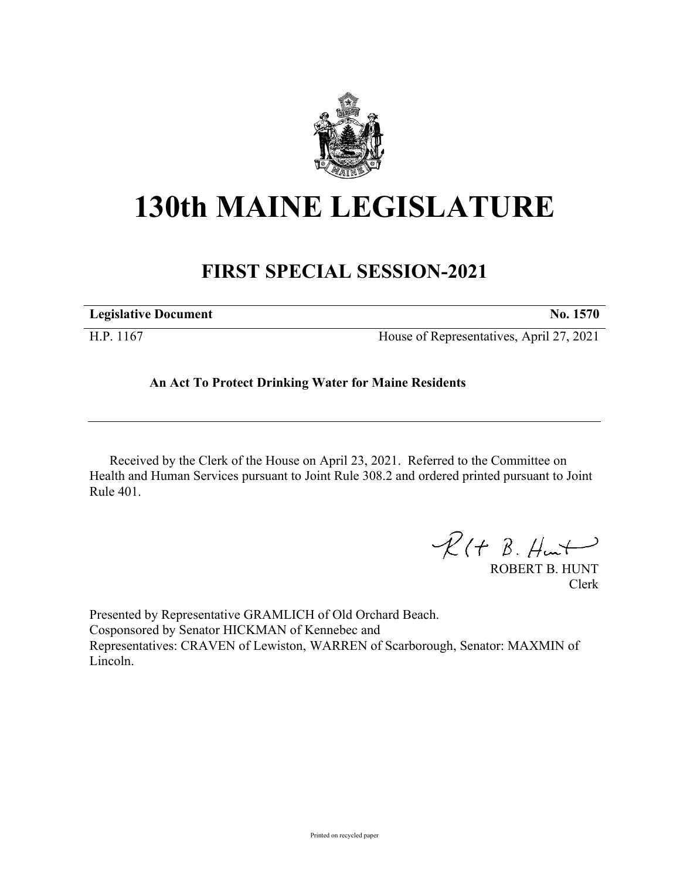

## **130th MAINE LEGISLATURE**

## **FIRST SPECIAL SESSION-2021**

| <b>Legislative Document</b> | No. 1570                                 |
|-----------------------------|------------------------------------------|
| H.P. 1167                   | House of Representatives, April 27, 2021 |

## **An Act To Protect Drinking Water for Maine Residents**

Received by the Clerk of the House on April 23, 2021. Referred to the Committee on Health and Human Services pursuant to Joint Rule 308.2 and ordered printed pursuant to Joint Rule 401.

 $\mathcal{R}(t \; \mathcal{B}, \mathcal{H}_{\mathsf{int}})$ 

ROBERT B. HUNT Clerk

Presented by Representative GRAMLICH of Old Orchard Beach. Cosponsored by Senator HICKMAN of Kennebec and Representatives: CRAVEN of Lewiston, WARREN of Scarborough, Senator: MAXMIN of Lincoln.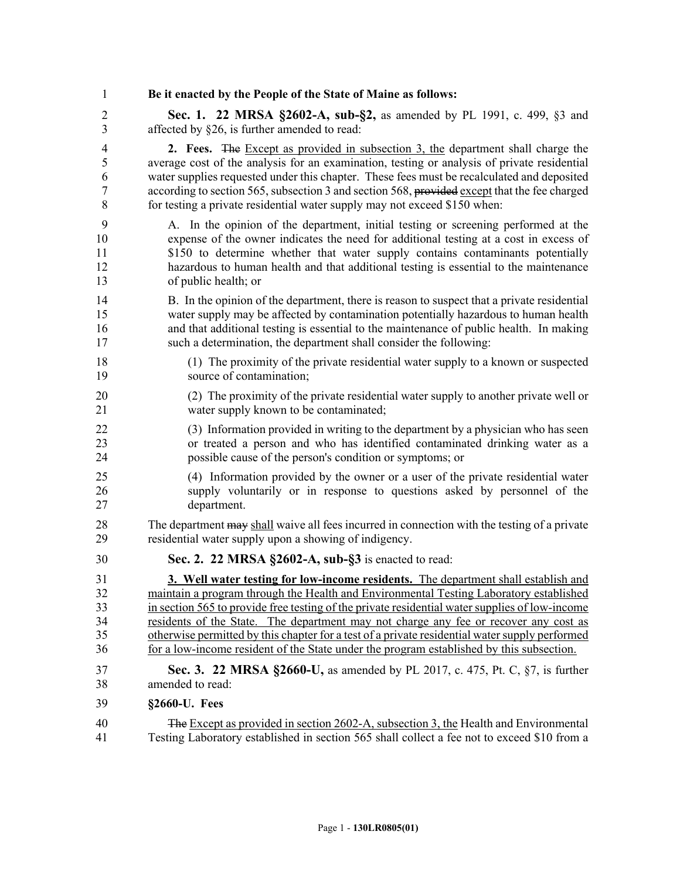1 **Be it enacted by the People of the State of Maine as follows:** 2 **Sec. 1. 22 MRSA §2602-A, sub-§2,** as amended by PL 1991, c. 499, §3 and 3 affected by §26, is further amended to read: 4 **2. Fees.** The Except as provided in subsection 3, the department shall charge the 5 average cost of the analysis for an examination, testing or analysis of private residential 6 water supplies requested under this chapter. These fees must be recalculated and deposited 7 according to section 565, subsection 3 and section 568, provided except that the fee charged 8 for testing a private residential water supply may not exceed \$150 when: 9 A. In the opinion of the department, initial testing or screening performed at the 10 expense of the owner indicates the need for additional testing at a cost in excess of 11  $$150$  to determine whether that water supply contains contaminants potentially 12 hazardous to human health and that additional testing is essential to the maintenance 13 of public health; or 14 B. In the opinion of the department, there is reason to suspect that a private residential 15 water supply may be affected by contamination potentially hazardous to human health 16 and that additional testing is essential to the maintenance of public health. In making 17 such a determination, the department shall consider the following: 18 (1) The proximity of the private residential water supply to a known or suspected 19 source of contamination; 20 (2) The proximity of the private residential water supply to another private well or 21 water supply known to be contaminated; 22 (3) Information provided in writing to the department by a physician who has seen 23 or treated a person and who has identified contaminated drinking water as a 24 possible cause of the person's condition or symptoms; or 25 (4) Information provided by the owner or a user of the private residential water 26 supply voluntarily or in response to questions asked by personnel of the 27 department. 28 The department may shall waive all fees incurred in connection with the testing of a private 29 residential water supply upon a showing of indigency. 30 **Sec. 2. 22 MRSA §2602-A, sub-§3** is enacted to read: 31 **3. Well water testing for low-income residents.** The department shall establish and 32 maintain a program through the Health and Environmental Testing Laboratory established 33 in section 565 to provide free testing of the private residential water supplies of low-income 34 residents of the State. The department may not charge any fee or recover any cost as 35 otherwise permitted by this chapter for a test of a private residential water supply performed 36 for a low-income resident of the State under the program established by this subsection. 37 **Sec. 3. 22 MRSA §2660-U,** as amended by PL 2017, c. 475, Pt. C, §7, is further 38 amended to read: 39 **§2660-U. Fees** 40 The Except as provided in section 2602-A, subsection 3, the Health and Environmental 41 Testing Laboratory established in section 565 shall collect a fee not to exceed \$10 from a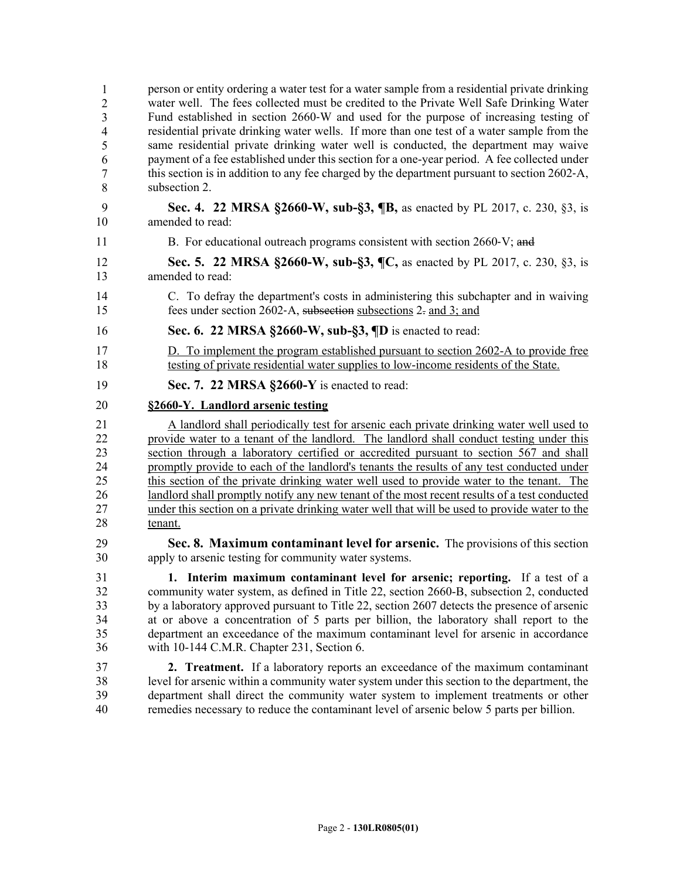| 1              | person or entity ordering a water test for a water sample from a residential private drinking |
|----------------|-----------------------------------------------------------------------------------------------|
| $\overline{2}$ | water well. The fees collected must be credited to the Private Well Safe Drinking Water       |
| 3              | Fund established in section 2660-W and used for the purpose of increasing testing of          |
| $\overline{4}$ | residential private drinking water wells. If more than one test of a water sample from the    |
| 5              | same residential private drinking water well is conducted, the department may waive           |
| 6              | payment of a fee established under this section for a one-year period. A fee collected under  |
| 7              | this section is in addition to any fee charged by the department pursuant to section 2602-A,  |
| 8              | subsection 2.                                                                                 |
| 9              | Sec. 4. 22 MRSA §2660-W, sub-§3, ¶B, as enacted by PL 2017, c. 230, §3, is                    |
| 10             | amended to read:                                                                              |
| 11             | B. For educational outreach programs consistent with section 2660-V; and                      |
| 12             | Sec. 5. 22 MRSA §2660-W, sub-§3, ¶C, as enacted by PL 2017, c. 230, §3, is                    |
| 13             | amended to read:                                                                              |
| 14             | C. To defray the department's costs in administering this subchapter and in waiving           |
| 15             | fees under section 2602-A, subsection subsections 2- and 3; and                               |
| 16             | Sec. 6. 22 MRSA $\S 2660-W$ , sub- $\S 3$ , $\P D$ is enacted to read:                        |
| 17             | D. To implement the program established pursuant to section 2602-A to provide free            |
| 18             | testing of private residential water supplies to low-income residents of the State.           |
| 19             | Sec. 7. 22 MRSA §2660-Y is enacted to read:                                                   |
| 20             | §2660-Y. Landlord arsenic testing                                                             |
| 21             | A landlord shall periodically test for arsenic each private drinking water well used to       |
| 22             | provide water to a tenant of the landlord. The landlord shall conduct testing under this      |
| 23             | section through a laboratory certified or accredited pursuant to section 567 and shall        |
| 24             | promptly provide to each of the landlord's tenants the results of any test conducted under    |
| 25             | this section of the private drinking water well used to provide water to the tenant. The      |
| 26             | landlord shall promptly notify any new tenant of the most recent results of a test conducted  |
| 27             | under this section on a private drinking water well that will be used to provide water to the |
| 28             | tenant.                                                                                       |
| 29             | Sec. 8. Maximum contaminant level for arsenic. The provisions of this section                 |
| 30             | apply to arsenic testing for community water systems.                                         |
| 31             | 1. Interim maximum contaminant level for arsenic; reporting. If a test of a                   |
| 32             | community water system, as defined in Title 22, section 2660-B, subsection 2, conducted       |
| 33             | by a laboratory approved pursuant to Title 22, section 2607 detects the presence of arsenic   |
| 34             | at or above a concentration of 5 parts per billion, the laboratory shall report to the        |
| 35             | department an exceedance of the maximum contaminant level for arsenic in accordance           |
| 36             | with 10-144 C.M.R. Chapter 231, Section 6.                                                    |
| 37             | 2. Treatment. If a laboratory reports an exceedance of the maximum contaminant                |
| 38             | level for arsenic within a community water system under this section to the department, the   |
| 39             | department shall direct the community water system to implement treatments or other           |
| 40             | remedies necessary to reduce the contaminant level of arsenic below 5 parts per billion.      |